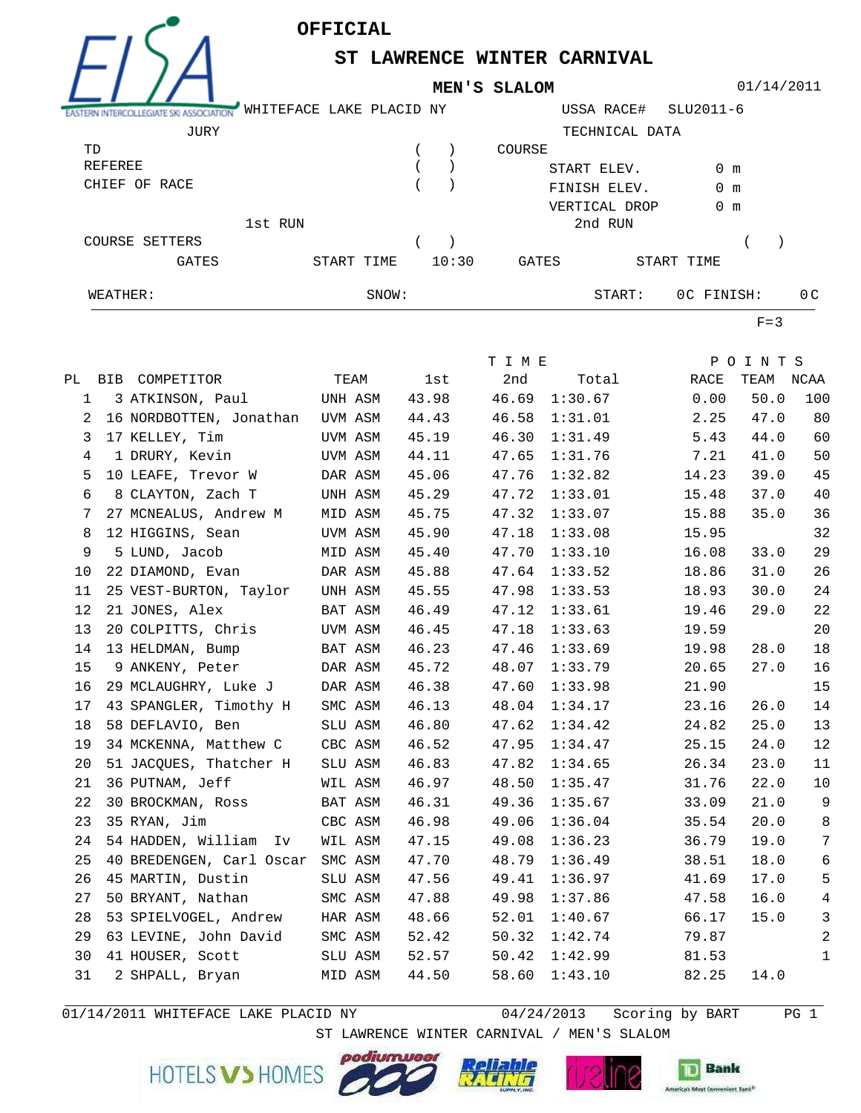

**ST LAWRENCE WINTER CARNIVAL**

**MEN'S SLALOM**



01/14/2011

|                | ASSOCIATION  | WHITEFACE LAKE PLACID NY |            |       |       |        | USSA RACE#     | SLU2011-6     |     |  |
|----------------|--------------|--------------------------|------------|-------|-------|--------|----------------|---------------|-----|--|
|                | JURY         |                          |            |       |       |        | TECHNICAL DATA |               |     |  |
| TD             |              |                          |            |       |       | COURSE |                |               |     |  |
| REFEREE        |              |                          |            |       |       |        | START ELEV.    | 0 m           |     |  |
| CHIEF OF RACE  |              |                          |            |       |       |        | FINISH ELEV.   | 0 m           |     |  |
|                |              |                          |            |       |       |        | VERTICAL DROP  | $0 \text{ m}$ |     |  |
|                |              | 1st RUN                  |            |       |       |        | 2nd RUN        |               |     |  |
| COURSE SETTERS |              |                          |            |       |       |        |                |               |     |  |
|                | <b>GATES</b> |                          | START TIME |       | 10:30 | GATES  |                | START TIME    |     |  |
| WEATHER:       |              |                          |            | SNOW: |       |        | START:         | OC FINISH:    | 0 C |  |

 $F=3$ 

|    |                                  |         |       | T I M E |         |               | POINTS |                |
|----|----------------------------------|---------|-------|---------|---------|---------------|--------|----------------|
|    | PL BIB COMPETITOR                | TEAM    | lst   | 2nd     |         | Total<br>RACE | TEAM   | NCAA           |
| 1  | 3 ATKINSON, Paul<br>UNH ASM      |         | 43.98 | 46.69   | 1:30.67 | 0.00          | 50.0   | 100            |
| 2  | 16 NORDBOTTEN, Jonathan UVM ASM  |         | 44.43 | 46.58   | 1:31.01 | 2.25          | 47.0   | 80             |
| 3  | 17 KELLEY, Tim                   | UVM ASM | 45.19 | 46.30   | 1:31.49 | 5.43          | 44.0   | 60             |
| 4  | 1 DRURY, Kevin                   | UVM ASM | 44.11 | 47.65   | 1:31.76 | 7.21          | 41.0   | 50             |
| 5  | 10 LEAFE, Trevor W               | DAR ASM | 45.06 | 47.76   | 1:32.82 | 14.23         | 39.0   | 45             |
| 6  | 8 CLAYTON, Zach T                | UNH ASM | 45.29 | 47.72   | 1:33.01 | 15.48         | 37.0   | 40             |
| 7  | 27 MCNEALUS, Andrew M            | MID ASM | 45.75 | 47.32   | 1:33.07 | 15.88         | 35.0   | 36             |
| 8  | 12 HIGGINS, Sean                 | UVM ASM | 45.90 | 47.18   | 1:33.08 | 15.95         |        | 32             |
| 9  | 5 LUND, Jacob                    | MID ASM | 45.40 | 47.70   | 1:33.10 | 16.08         | 33.0   | 29             |
| 10 | 22 DIAMOND, Evan                 | DAR ASM | 45.88 | 47.64   | 1:33.52 | 18.86         | 31.0   | 26             |
| 11 | 25 VEST-BURTON, Taylor           | UNH ASM | 45.55 | 47.98   | 1:33.53 | 18.93         | 30.0   | 24             |
| 12 | 21 JONES, Alex                   | BAT ASM | 46.49 | 47.12   | 1:33.61 | 19.46         | 29.0   | 22             |
| 13 | 20 COLPITTS, Chris               | UVM ASM | 46.45 | 47.18   | 1:33.63 | 19.59         |        | 20             |
| 14 | 13 HELDMAN, Bump                 | BAT ASM | 46.23 | 47.46   | 1:33.69 | 19.98         | 28.0   | 18             |
| 15 | 9 ANKENY, Peter                  | DAR ASM | 45.72 | 48.07   | 1:33.79 | 20.65         | 27.0   | 16             |
| 16 | 29 MCLAUGHRY, Luke J             | DAR ASM | 46.38 | 47.60   | 1:33.98 | 21.90         |        | 15             |
| 17 | 43 SPANGLER, Timothy H           | SMC ASM | 46.13 | 48.04   | 1:34.17 | 23.16         | 26.0   | 14             |
| 18 | 58 DEFLAVIO, Ben                 | SLU ASM | 46.80 | 47.62   | 1:34.42 | 24.82         | 25.0   | 13             |
| 19 | 34 MCKENNA, Matthew C            | CBC ASM | 46.52 | 47.95   | 1:34.47 | 25.15         | 24.0   | 12             |
| 20 | 51 JACQUES, Thatcher H           | SLU ASM | 46.83 | 47.82   | 1:34.65 | 26.34         | 23.0   | 11             |
| 21 | 36 PUTNAM, Jeff                  | WIL ASM | 46.97 | 48.50   | 1:35.47 | 31.76         | 22.0   | $10$           |
| 22 | 30 BROCKMAN, Ross                | BAT ASM | 46.31 | 49.36   | 1:35.67 | 33.09         | 21.0   | 9              |
| 23 | 35 RYAN, Jim                     | CBC ASM | 46.98 | 49.06   | 1:36.04 | 35.54         | 20.0   | 8              |
| 24 | 54 HADDEN, William Iv            | WIL ASM | 47.15 | 49.08   | 1:36.23 | 36.79         | 19.0   | $7\phantom{.}$ |
| 25 | 40 BREDENGEN, Carl Oscar SMC ASM |         | 47.70 | 48.79   | 1:36.49 | 38.51         | 18.0   | 6              |
| 26 | 45 MARTIN, Dustin                | SLU ASM | 47.56 | 49.41   | 1:36.97 | 41.69         | 17.0   | 5              |
| 27 | 50 BRYANT, Nathan                | SMC ASM | 47.88 | 49.98   | 1:37.86 | 47.58         | 16.0   | $\sqrt{4}$     |
| 28 | 53 SPIELVOGEL, Andrew            | HAR ASM | 48.66 | 52.01   | 1:40.67 | 66.17         | 15.0   | $\mathsf{3}$   |
| 29 | 63 LEVINE, John David            | SMC ASM | 52.42 | 50.32   | 1:42.74 | 79.87         |        | 2              |
| 30 | 41 HOUSER, Scott                 | SLU ASM | 52.57 | 50.42   | 1:42.99 | 81.53         |        | $\mathbf 1$    |
| 31 | 2 SHPALL, Bryan                  | MID ASM | 44.50 | 58.60   | 1:43.10 | 82.25         | 14.0   |                |

 $01/14/2011$  WHITEFACE LAKE PLACID NY

 $04/24/2013$  Scoring by BART PG 1

 ST LAWRENCE WINTER CARNIVAL / MEN'S SLALOM HOTELS V > HOMES